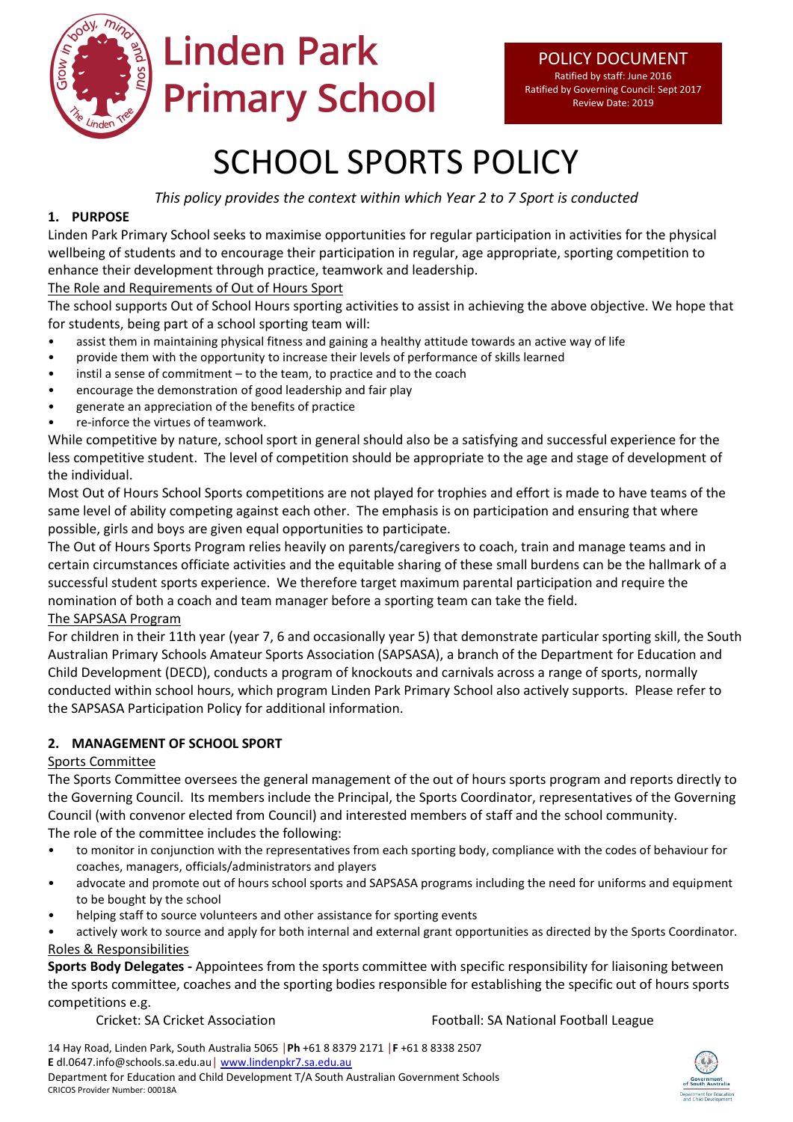

# **Linden Park Primary School**

# SCHOOL SPORTS POLICY

*This policy provides the context within which Year 2 to 7 Sport is conducted*

# **1. PURPOSE**

Linden Park Primary School seeks to maximise opportunities for regular participation in activities for the physical wellbeing of students and to encourage their participation in regular, age appropriate, sporting competition to enhance their development through practice, teamwork and leadership.

# The Role and Requirements of Out of Hours Sport

The school supports Out of School Hours sporting activities to assist in achieving the above objective. We hope that for students, being part of a school sporting team will:

- assist them in maintaining physical fitness and gaining a healthy attitude towards an active way of life
- provide them with the opportunity to increase their levels of performance of skills learned
- instil a sense of commitment  $-$  to the team, to practice and to the coach
- encourage the demonstration of good leadership and fair play
- generate an appreciation of the benefits of practice
- re-inforce the virtues of teamwork.

While competitive by nature, school sport in general should also be a satisfying and successful experience for the less competitive student. The level of competition should be appropriate to the age and stage of development of the individual.

Most Out of Hours School Sports competitions are not played for trophies and effort is made to have teams of the same level of ability competing against each other. The emphasis is on participation and ensuring that where possible, girls and boys are given equal opportunities to participate.

The Out of Hours Sports Program relies heavily on parents/caregivers to coach, train and manage teams and in certain circumstances officiate activities and the equitable sharing of these small burdens can be the hallmark of a successful student sports experience. We therefore target maximum parental participation and require the nomination of both a coach and team manager before a sporting team can take the field.

# The SAPSASA Program

For children in their 11th year (year 7, 6 and occasionally year 5) that demonstrate particular sporting skill, the South Australian Primary Schools Amateur Sports Association (SAPSASA), a branch of the Department for Education and Child Development (DECD), conducts a program of knockouts and carnivals across a range of sports, normally conducted within school hours, which program Linden Park Primary School also actively supports. Please refer to the SAPSASA Participation Policy for additional information.

# **2. MANAGEMENT OF SCHOOL SPORT**

# Sports Committee

The Sports Committee oversees the general management of the out of hours sports program and reports directly to the Governing Council. Its members include the Principal, the Sports Coordinator, representatives of the Governing Council (with convenor elected from Council) and interested members of staff and the school community. The role of the committee includes the following:

- to monitor in conjunction with the representatives from each sporting body, compliance with the codes of behaviour for coaches, managers, officials/administrators and players
- advocate and promote out of hours school sports and SAPSASA programs including the need for uniforms and equipment to be bought by the school
- helping staff to source volunteers and other assistance for sporting events

actively work to source and apply for both internal and external grant opportunities as directed by the Sports Coordinator. Roles & Responsibilities

**Sports Body Delegates -** Appointees from the sports committee with specific responsibility for liaisoning between the sports committee, coaches and the sporting bodies responsible for establishing the specific out of hours sports competitions e.g.

Cricket: SA Cricket Association Football: SA National Football League

14 Hay Road, Linden Park, South Australia 5065 │**Ph** +61 8 8379 2171 │**F** +61 8 8338 2507 **E** dl.0647.info@schools.sa.edu.au│ [www.lindenpkr7.sa.edu.au](http://www.lindenpkr7.sa.edu.au/) Department for Education and Child Development T/A South Australian Government Schools CRICOS Provider Number: 00018A

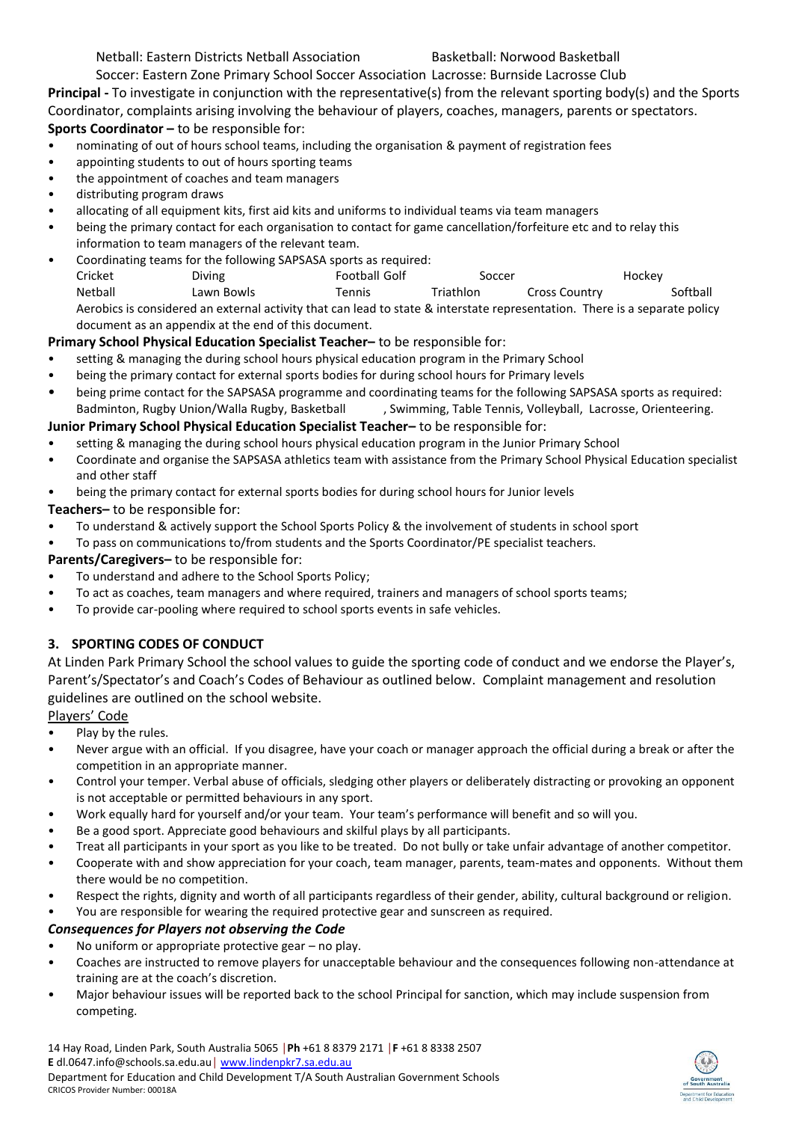Soccer: Eastern Zone Primary School Soccer Association Lacrosse: Burnside Lacrosse Club

**Principal -** To investigate in conjunction with the representative(s) from the relevant sporting body(s) and the Sports Coordinator, complaints arising involving the behaviour of players, coaches, managers, parents or spectators. **Sports Coordinator –** to be responsible for:

- nominating of out of hours school teams, including the organisation & payment of registration fees
- appointing students to out of hours sporting teams
- the appointment of coaches and team managers
- distributing program draws
- allocating of all equipment kits, first aid kits and uniforms to individual teams via team managers
- being the primary contact for each organisation to contact for game cancellation/forfeiture etc and to relay this information to team managers of the relevant team.
- Coordinating teams for the following SAPSASA sports as required:

Cricket **Diving Contact Diving Soccer** Soccer Hockey Netball Lawn Bowls Tennis Triathlon Cross Country Softball Aerobics is considered an external activity that can lead to state & interstate representation. There is a separate policy document as an appendix at the end of this document.

# **Primary School Physical Education Specialist Teacher–** to be responsible for:

- setting & managing the during school hours physical education program in the Primary School
- being the primary contact for external sports bodies for during school hours for Primary levels
- being prime contact for the SAPSASA programme and coordinating teams for the following SAPSASA sports as required: Badminton, Rugby Union/Walla Rugby, Basketball , Swimming, Table Tennis, Volleyball, Lacrosse, Orienteering.

# **Junior Primary School Physical Education Specialist Teacher–** to be responsible for:

- setting & managing the during school hours physical education program in the Junior Primary School
- Coordinate and organise the SAPSASA athletics team with assistance from the Primary School Physical Education specialist and other staff
- being the primary contact for external sports bodies for during school hours for Junior levels
- **Teachers–** to be responsible for:
- To understand & actively support the School Sports Policy & the involvement of students in school sport
- To pass on communications to/from students and the Sports Coordinator/PE specialist teachers.

# **Parents/Caregivers–** to be responsible for:

- To understand and adhere to the School Sports Policy;
- To act as coaches, team managers and where required, trainers and managers of school sports teams;
- To provide car-pooling where required to school sports events in safe vehicles.

# **3. SPORTING CODES OF CONDUCT**

At Linden Park Primary School the school values to guide the sporting code of conduct and we endorse the Player's, Parent's/Spectator's and Coach's Codes of Behaviour as outlined below. Complaint management and resolution guidelines are outlined on the school website.

# Players' Code

- Play by the rules.
- Never argue with an official. If you disagree, have your coach or manager approach the official during a break or after the competition in an appropriate manner.
- Control your temper. Verbal abuse of officials, sledging other players or deliberately distracting or provoking an opponent is not acceptable or permitted behaviours in any sport.
- Work equally hard for yourself and/or your team. Your team's performance will benefit and so will you.
- Be a good sport. Appreciate good behaviours and skilful plays by all participants.
- Treat all participants in your sport as you like to be treated. Do not bully or take unfair advantage of another competitor.
- Cooperate with and show appreciation for your coach, team manager, parents, team-mates and opponents. Without them there would be no competition.
- Respect the rights, dignity and worth of all participants regardless of their gender, ability, cultural background or religion.

#### • You are responsible for wearing the required protective gear and sunscreen as required.

# *Consequences for Players not observing the Code*

- No uniform or appropriate protective gear no play.
- Coaches are instructed to remove players for unacceptable behaviour and the consequences following non-attendance at training are at the coach's discretion.
- Major behaviour issues will be reported back to the school Principal for sanction, which may include suspension from competing.

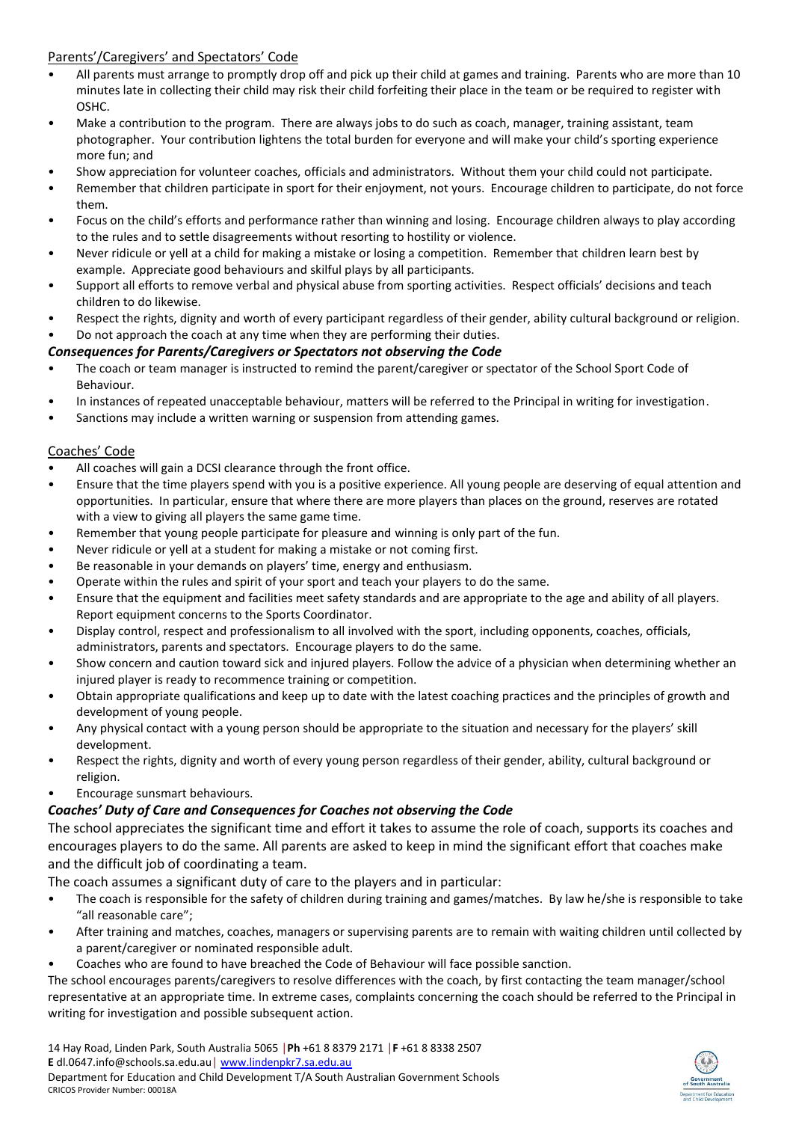# Parents'/Caregivers' and Spectators' Code

- All parents must arrange to promptly drop off and pick up their child at games and training. Parents who are more than 10 minutes late in collecting their child may risk their child forfeiting their place in the team or be required to register with OSHC.
- Make a contribution to the program. There are always jobs to do such as coach, manager, training assistant, team photographer. Your contribution lightens the total burden for everyone and will make your child's sporting experience more fun; and
- Show appreciation for volunteer coaches, officials and administrators. Without them your child could not participate.
- Remember that children participate in sport for their enjoyment, not yours. Encourage children to participate, do not force them.
- Focus on the child's efforts and performance rather than winning and losing. Encourage children always to play according to the rules and to settle disagreements without resorting to hostility or violence.
- Never ridicule or yell at a child for making a mistake or losing a competition. Remember that children learn best by example. Appreciate good behaviours and skilful plays by all participants.
- Support all efforts to remove verbal and physical abuse from sporting activities. Respect officials' decisions and teach children to do likewise.
- Respect the rights, dignity and worth of every participant regardless of their gender, ability cultural background or religion.
- Do not approach the coach at any time when they are performing their duties.

#### *Consequences for Parents/Caregivers or Spectators not observing the Code*

- The coach or team manager is instructed to remind the parent/caregiver or spectator of the School Sport Code of Behaviour.
- In instances of repeated unacceptable behaviour, matters will be referred to the Principal in writing for investigation.
- Sanctions may include a written warning or suspension from attending games.

#### Coaches' Code

- All coaches will gain a DCSI clearance through the front office.
- Ensure that the time players spend with you is a positive experience. All young people are deserving of equal attention and opportunities. In particular, ensure that where there are more players than places on the ground, reserves are rotated with a view to giving all players the same game time.
- Remember that young people participate for pleasure and winning is only part of the fun.
- Never ridicule or yell at a student for making a mistake or not coming first.
- Be reasonable in your demands on players' time, energy and enthusiasm.
- Operate within the rules and spirit of your sport and teach your players to do the same.
- Ensure that the equipment and facilities meet safety standards and are appropriate to the age and ability of all players. Report equipment concerns to the Sports Coordinator.
- Display control, respect and professionalism to all involved with the sport, including opponents, coaches, officials, administrators, parents and spectators. Encourage players to do the same.
- Show concern and caution toward sick and injured players. Follow the advice of a physician when determining whether an injured player is ready to recommence training or competition.
- Obtain appropriate qualifications and keep up to date with the latest coaching practices and the principles of growth and development of young people.
- Any physical contact with a young person should be appropriate to the situation and necessary for the players' skill development.
- Respect the rights, dignity and worth of every young person regardless of their gender, ability, cultural background or religion.
- Encourage sunsmart behaviours.

# *Coaches' Duty of Care and Consequences for Coaches not observing the Code*

The school appreciates the significant time and effort it takes to assume the role of coach, supports its coaches and encourages players to do the same. All parents are asked to keep in mind the significant effort that coaches make and the difficult job of coordinating a team.

The coach assumes a significant duty of care to the players and in particular:

- The coach is responsible for the safety of children during training and games/matches. By law he/she is responsible to take "all reasonable care";
- After training and matches, coaches, managers or supervising parents are to remain with waiting children until collected by a parent/caregiver or nominated responsible adult.
- Coaches who are found to have breached the Code of Behaviour will face possible sanction.

The school encourages parents/caregivers to resolve differences with the coach, by first contacting the team manager/school representative at an appropriate time. In extreme cases, complaints concerning the coach should be referred to the Principal in writing for investigation and possible subsequent action.

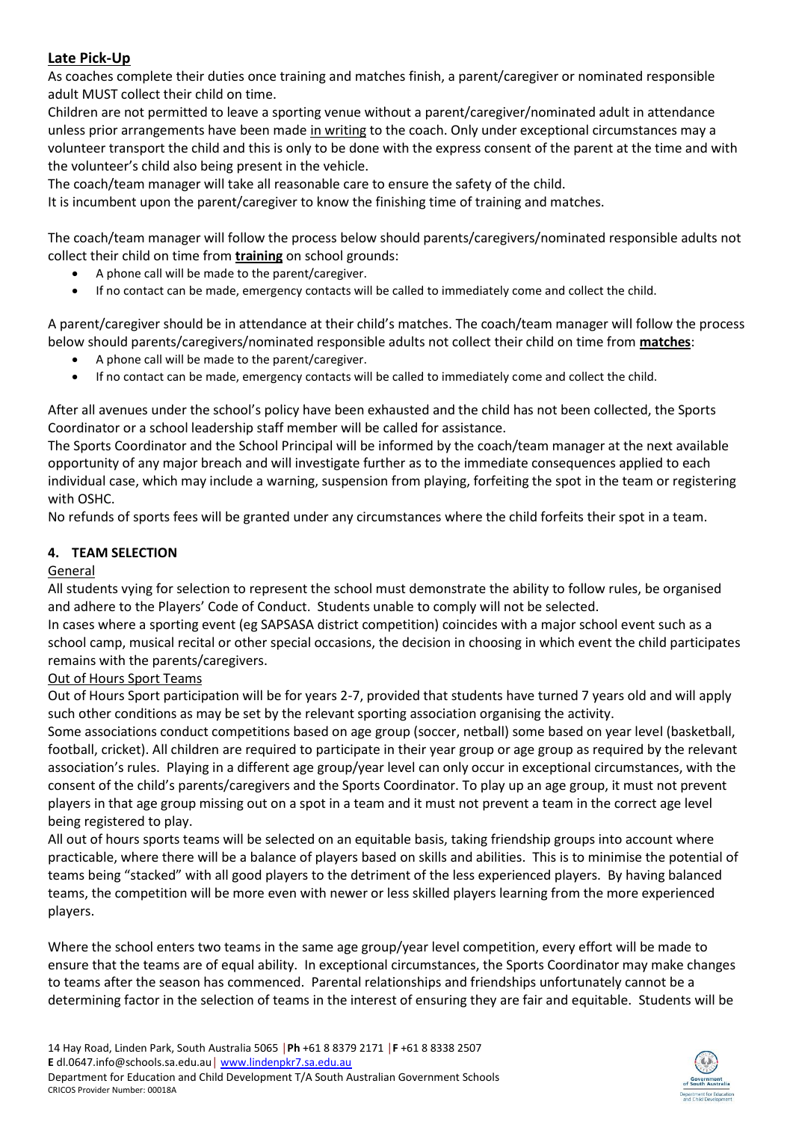# **Late Pick-Up**

As coaches complete their duties once training and matches finish, a parent/caregiver or nominated responsible adult MUST collect their child on time.

Children are not permitted to leave a sporting venue without a parent/caregiver/nominated adult in attendance unless prior arrangements have been made in writing to the coach. Only under exceptional circumstances may a volunteer transport the child and this is only to be done with the express consent of the parent at the time and with the volunteer's child also being present in the vehicle.

The coach/team manager will take all reasonable care to ensure the safety of the child.

It is incumbent upon the parent/caregiver to know the finishing time of training and matches.

The coach/team manager will follow the process below should parents/caregivers/nominated responsible adults not collect their child on time from **training** on school grounds:

- A phone call will be made to the parent/caregiver.
- If no contact can be made, emergency contacts will be called to immediately come and collect the child.

A parent/caregiver should be in attendance at their child's matches. The coach/team manager will follow the process below should parents/caregivers/nominated responsible adults not collect their child on time from **matches**:

- A phone call will be made to the parent/caregiver.
- If no contact can be made, emergency contacts will be called to immediately come and collect the child.

After all avenues under the school's policy have been exhausted and the child has not been collected, the Sports Coordinator or a school leadership staff member will be called for assistance.

The Sports Coordinator and the School Principal will be informed by the coach/team manager at the next available opportunity of any major breach and will investigate further as to the immediate consequences applied to each individual case, which may include a warning, suspension from playing, forfeiting the spot in the team or registering with OSHC.

No refunds of sports fees will be granted under any circumstances where the child forfeits their spot in a team.

# **4. TEAM SELECTION**

# **General**

All students vying for selection to represent the school must demonstrate the ability to follow rules, be organised and adhere to the Players' Code of Conduct. Students unable to comply will not be selected.

In cases where a sporting event (eg SAPSASA district competition) coincides with a major school event such as a school camp, musical recital or other special occasions, the decision in choosing in which event the child participates remains with the parents/caregivers.

# Out of Hours Sport Teams

Out of Hours Sport participation will be for years 2-7, provided that students have turned 7 years old and will apply such other conditions as may be set by the relevant sporting association organising the activity.

Some associations conduct competitions based on age group (soccer, netball) some based on year level (basketball, football, cricket). All children are required to participate in their year group or age group as required by the relevant association's rules. Playing in a different age group/year level can only occur in exceptional circumstances, with the consent of the child's parents/caregivers and the Sports Coordinator. To play up an age group, it must not prevent players in that age group missing out on a spot in a team and it must not prevent a team in the correct age level being registered to play.

All out of hours sports teams will be selected on an equitable basis, taking friendship groups into account where practicable, where there will be a balance of players based on skills and abilities. This is to minimise the potential of teams being "stacked" with all good players to the detriment of the less experienced players. By having balanced teams, the competition will be more even with newer or less skilled players learning from the more experienced players.

Where the school enters two teams in the same age group/year level competition, every effort will be made to ensure that the teams are of equal ability. In exceptional circumstances, the Sports Coordinator may make changes to teams after the season has commenced. Parental relationships and friendships unfortunately cannot be a determining factor in the selection of teams in the interest of ensuring they are fair and equitable. Students will be

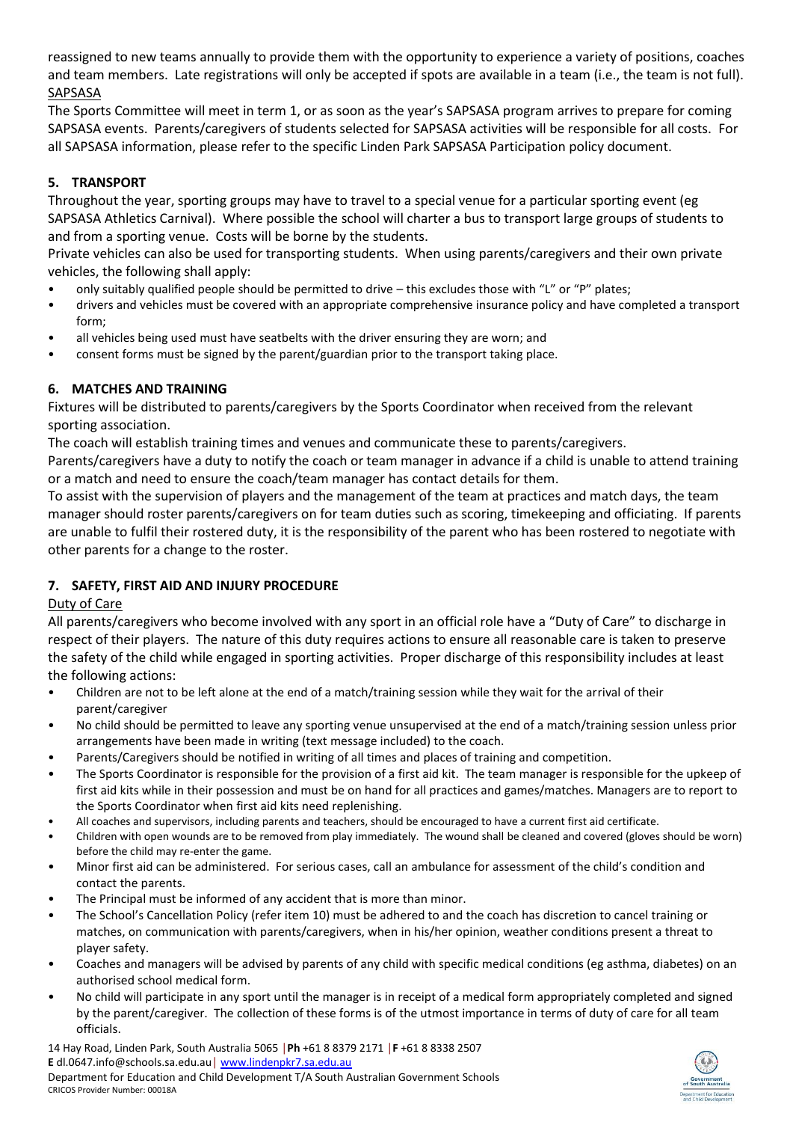reassigned to new teams annually to provide them with the opportunity to experience a variety of positions, coaches and team members. Late registrations will only be accepted if spots are available in a team (i.e., the team is not full). SAPSASA

The Sports Committee will meet in term 1, or as soon as the year's SAPSASA program arrives to prepare for coming SAPSASA events. Parents/caregivers of students selected for SAPSASA activities will be responsible for all costs. For all SAPSASA information, please refer to the specific Linden Park SAPSASA Participation policy document.

# **5. TRANSPORT**

Throughout the year, sporting groups may have to travel to a special venue for a particular sporting event (eg SAPSASA Athletics Carnival). Where possible the school will charter a bus to transport large groups of students to and from a sporting venue. Costs will be borne by the students.

Private vehicles can also be used for transporting students. When using parents/caregivers and their own private vehicles, the following shall apply:

- only suitably qualified people should be permitted to drive this excludes those with "L" or "P" plates;
- drivers and vehicles must be covered with an appropriate comprehensive insurance policy and have completed a transport form;
- all vehicles being used must have seatbelts with the driver ensuring they are worn; and
- consent forms must be signed by the parent/guardian prior to the transport taking place.

# **6. MATCHES AND TRAINING**

Fixtures will be distributed to parents/caregivers by the Sports Coordinator when received from the relevant sporting association.

The coach will establish training times and venues and communicate these to parents/caregivers.

Parents/caregivers have a duty to notify the coach or team manager in advance if a child is unable to attend training or a match and need to ensure the coach/team manager has contact details for them.

To assist with the supervision of players and the management of the team at practices and match days, the team manager should roster parents/caregivers on for team duties such as scoring, timekeeping and officiating. If parents are unable to fulfil their rostered duty, it is the responsibility of the parent who has been rostered to negotiate with other parents for a change to the roster.

# **7. SAFETY, FIRST AID AND INJURY PROCEDURE**

# Duty of Care

All parents/caregivers who become involved with any sport in an official role have a "Duty of Care" to discharge in respect of their players. The nature of this duty requires actions to ensure all reasonable care is taken to preserve the safety of the child while engaged in sporting activities. Proper discharge of this responsibility includes at least the following actions:

- Children are not to be left alone at the end of a match/training session while they wait for the arrival of their parent/caregiver
- No child should be permitted to leave any sporting venue unsupervised at the end of a match/training session unless prior arrangements have been made in writing (text message included) to the coach.
- Parents/Caregivers should be notified in writing of all times and places of training and competition.
- The Sports Coordinator is responsible for the provision of a first aid kit. The team manager is responsible for the upkeep of first aid kits while in their possession and must be on hand for all practices and games/matches. Managers are to report to the Sports Coordinator when first aid kits need replenishing.
- All coaches and supervisors, including parents and teachers, should be encouraged to have a current first aid certificate.
- Children with open wounds are to be removed from play immediately. The wound shall be cleaned and covered (gloves should be worn) before the child may re-enter the game.
- Minor first aid can be administered. For serious cases, call an ambulance for assessment of the child's condition and contact the parents.
- The Principal must be informed of any accident that is more than minor.
- The School's Cancellation Policy (refer item 10) must be adhered to and the coach has discretion to cancel training or matches, on communication with parents/caregivers, when in his/her opinion, weather conditions present a threat to player safety.
- Coaches and managers will be advised by parents of any child with specific medical conditions (eg asthma, diabetes) on an authorised school medical form.
- No child will participate in any sport until the manager is in receipt of a medical form appropriately completed and signed by the parent/caregiver. The collection of these forms is of the utmost importance in terms of duty of care for all team officials.

14 Hay Road, Linden Park, South Australia 5065 │**Ph** +61 8 8379 2171 │**F** +61 8 8338 2507 **E** dl.0647.info@schools.sa.edu.au│ [www.lindenpkr7.sa.edu.au](http://www.lindenpkr7.sa.edu.au/) Department for Education and Child Development T/A South Australian Government Schools CRICOS Provider Number: 00018A

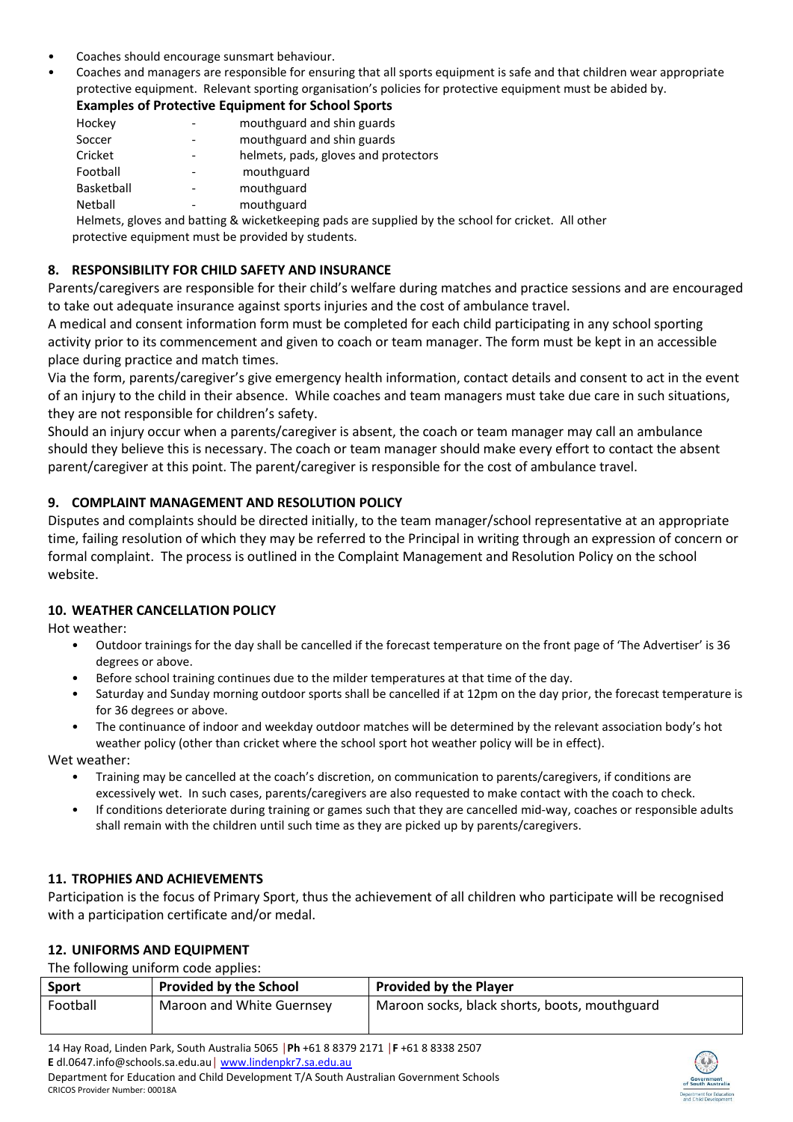- Coaches should encourage sunsmart behaviour.
- Coaches and managers are responsible for ensuring that all sports equipment is safe and that children wear appropriate protective equipment. Relevant sporting organisation's policies for protective equipment must be abided by.

# **Examples of Protective Equipment for School Sports**

| Hockey     | mouthguard and shin guards                                           |
|------------|----------------------------------------------------------------------|
| Soccer     | mouthguard and shin guards                                           |
| Cricket    | helmets, pads, gloves and protectors                                 |
| Football   | mouthguard                                                           |
| Basketball | mouthguard                                                           |
| Netball    | mouthguard                                                           |
|            | Helmets, gloves and batting & wicketkeening pads are supplied by the |

eimets, gioves and batting & wicketkeeping pads are supplied by the school for cricket. All other protective equipment must be provided by students.

#### **8. RESPONSIBILITY FOR CHILD SAFETY AND INSURANCE**

Parents/caregivers are responsible for their child's welfare during matches and practice sessions and are encouraged to take out adequate insurance against sports injuries and the cost of ambulance travel.

A medical and consent information form must be completed for each child participating in any school sporting activity prior to its commencement and given to coach or team manager. The form must be kept in an accessible place during practice and match times.

Via the form, parents/caregiver's give emergency health information, contact details and consent to act in the event of an injury to the child in their absence. While coaches and team managers must take due care in such situations, they are not responsible for children's safety.

Should an injury occur when a parents/caregiver is absent, the coach or team manager may call an ambulance should they believe this is necessary. The coach or team manager should make every effort to contact the absent parent/caregiver at this point. The parent/caregiver is responsible for the cost of ambulance travel.

#### **9. COMPLAINT MANAGEMENT AND RESOLUTION POLICY**

Disputes and complaints should be directed initially, to the team manager/school representative at an appropriate time, failing resolution of which they may be referred to the Principal in writing through an expression of concern or formal complaint. The process is outlined in the Complaint Management and Resolution Policy on the school website.

#### **10. WEATHER CANCELLATION POLICY**

Hot weather:

- Outdoor trainings for the day shall be cancelled if the forecast temperature on the front page of 'The Advertiser' is 36 degrees or above.
- Before school training continues due to the milder temperatures at that time of the day.
- Saturday and Sunday morning outdoor sports shall be cancelled if at 12pm on the day prior, the forecast temperature is for 36 degrees or above.
- The continuance of indoor and weekday outdoor matches will be determined by the relevant association body's hot weather policy (other than cricket where the school sport hot weather policy will be in effect).

Wet weather:

- Training may be cancelled at the coach's discretion, on communication to parents/caregivers, if conditions are excessively wet. In such cases, parents/caregivers are also requested to make contact with the coach to check.
- If conditions deteriorate during training or games such that they are cancelled mid-way, coaches or responsible adults shall remain with the children until such time as they are picked up by parents/caregivers.

# **11. TROPHIES AND ACHIEVEMENTS**

Participation is the focus of Primary Sport, thus the achievement of all children who participate will be recognised with a participation certificate and/or medal.

#### **12. UNIFORMS AND EQUIPMENT**

The following uniform code applies:

| <b>Sport</b> | <b>Provided by the School</b> | <b>Provided by the Player</b>                 |
|--------------|-------------------------------|-----------------------------------------------|
| Football     | Maroon and White Guernsey     | Maroon socks, black shorts, boots, mouthguard |

14 Hay Road, Linden Park, South Australia 5065 │**Ph** +61 8 8379 2171 │**F** +61 8 8338 2507 **E** dl.0647.info@schools.sa.edu.au│ [www.lindenpkr7.sa.edu.au](http://www.lindenpkr7.sa.edu.au/) Department for Education and Child Development T/A South Australian Government Schools CRICOS Provider Number: 00018A